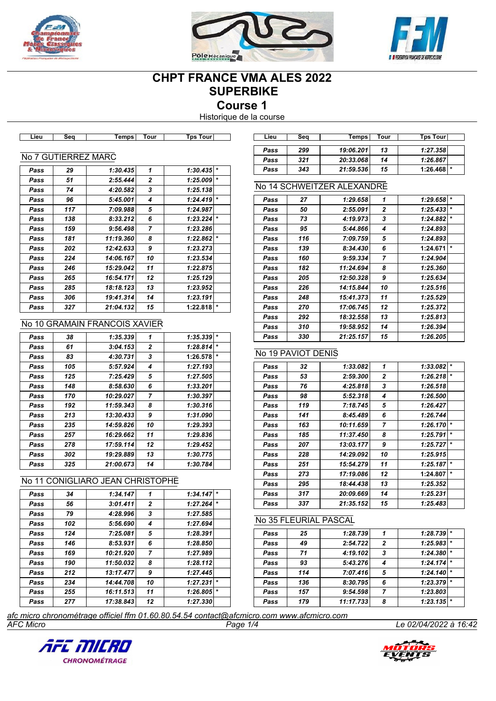





# **CHPT FRANCE VMA ALES 2022 SUPERBIKE**

**Course 1**

Historique de la course

| Pass | 29  | 1:30.435                      | 1              | $\star$<br>1:30.435 |
|------|-----|-------------------------------|----------------|---------------------|
| Pass | 51  | 2:55.444                      | $\overline{2}$ | $\star$<br>1:25.009 |
| Pass | 74  | 4:20.582                      | 3              | 1:25.138            |
| Pass | 96  | 5:45.001                      | 4              | $\star$<br>1:24.419 |
| Pass | 117 | 7:09.988                      | 5              | 1:24.987            |
| Pass | 138 | 8:33.212                      | 6              | $\star$<br>1:23.224 |
| Pass | 159 | 9:56.498                      | $\overline{ }$ | 1:23.286            |
| Pass | 181 | 11:19.360                     | 8              | $\star$<br>1:22.862 |
| Pass | 202 | 12:42.633                     | 9              | 1:23.273            |
| Pass | 224 | 14:06.167                     | 10             | 1:23.534            |
| Pass | 246 | 15:29.042                     | 11             | 1:22.875            |
| Pass | 265 | 16:54.171                     | 12             | 1:25.129            |
| Pass | 285 | 18:18.123                     | 13             | 1:23.952            |
| Pass | 306 | 19:41.314                     | 14             | 1:23.191            |
| Pass | 327 | 21:04.132                     | 15             | $\star$<br>1:22.818 |
|      |     | No 10 GRAMAIN FRANCOIS XAVIER |                |                     |
| Pass | 38  | 1:35.339                      | 1              | $\star$<br>1:35.339 |
|      |     |                               |                |                     |

**Lieu Seq Temps Tour Tps Tour Lieu Seq Temps Tour Tps Tour**

| Pass | 38  | 1:35.339  | 1              | 1:35.339 | $\star$ |
|------|-----|-----------|----------------|----------|---------|
| Pass | 61  | 3:04.153  | $\overline{2}$ | 1:28.814 | $\star$ |
| Pass | 83  | 4:30.731  | 3              | 1:26.578 | $\star$ |
| Pass | 105 | 5:57.924  | 4              | 1:27.193 |         |
| Pass | 125 | 7:25.429  | 5              | 1:27.505 |         |
| Pass | 148 | 8:58.630  | 6              | 1:33.201 |         |
| Pass | 170 | 10:29.027 | 7              | 1:30.397 |         |
| Pass | 192 | 11:59.343 | 8              | 1:30.316 |         |
| Pass | 213 | 13:30.433 | 9              | 1:31.090 |         |
| Pass | 235 | 14:59.826 | 10             | 1:29.393 |         |
| Pass | 257 | 16:29.662 | 11             | 1:29.836 |         |
| Pass | 278 | 17:59.114 | 12             | 1:29.452 |         |
| Pass | 302 | 19:29.889 | 13             | 1:30.775 |         |
| Pass | 325 | 21:00.673 | 14             | 1:30.784 |         |

## No 11 CONIGLIARO JEAN CHRISTOPHE

| Pass | 34  | 1:34.147  | 1              | $\star$<br>1:34.147 |
|------|-----|-----------|----------------|---------------------|
| Pass | 56  | 3:01.411  | $\mathbf{z}$   | $\star$<br>1:27.264 |
| Pass | 79  | 4:28.996  | 3              | 1:27.585            |
| Pass | 102 | 5:56.690  | 4              | 1:27.694            |
| Pass | 124 | 7:25.081  | 5              | 1:28.391            |
| Pass | 146 | 8:53.931  | 6              | 1:28.850            |
| Pass | 169 | 10:21.920 | $\overline{7}$ | 1:27.989            |
| Pass | 190 | 11:50.032 | 8              | 1:28.112            |
| Pass | 212 | 13:17.477 | 9              | 1:27.445            |
| Pass | 234 | 14:44.708 | 10             | $\star$<br>1:27.231 |
| Pass | 255 | 16:11.513 | 11             | $\star$<br>1:26.805 |
| Pass | 277 | 17:38.843 | 12             | 1:27.330            |

| Lieu | Sea | Temps     | Tour | Tps Tourl      |  |
|------|-----|-----------|------|----------------|--|
| Pass | 299 | 19:06.201 | 13   | 1:27.358       |  |
| Pass | 321 | 20:33.068 | 14   | 1:26.867       |  |
| Pass | 343 | 21:59.536 | 15   | $1:26.468$ $*$ |  |

## No 14 SCHWEITZER ALEXANDRE

| Pass | 27  | 1:29.658  | 1              | 1:29.658 | $\star$ |
|------|-----|-----------|----------------|----------|---------|
| Pass | 50  | 2:55.091  | $\mathbf{2}$   | 1:25.433 | $\star$ |
| Pass | 73  | 4:19.973  | 3              | 1:24.882 | $\star$ |
| Pass | 95  | 5:44.866  | 4              | 1:24.893 |         |
| Pass | 116 | 7:09.759  | 5              | 1:24.893 |         |
| Pass | 139 | 8:34.430  | 6              | 1:24.671 | $\star$ |
| Pass | 160 | 9:59.334  | $\overline{7}$ | 1:24.904 |         |
| Pass | 182 | 11:24.694 | 8              | 1:25.360 |         |
| Pass | 205 | 12:50.328 | 9              | 1:25.634 |         |
| Pass | 226 | 14:15.844 | 10             | 1:25.516 |         |
| Pass | 248 | 15:41.373 | 11             | 1:25.529 |         |
| Pass | 270 | 17:06.745 | 12             | 1:25.372 |         |
| Pass | 292 | 18:32.558 | 13             | 1:25.813 |         |
| Pass | 310 | 19:58.952 | 14             | 1:26.394 |         |
| Pass | 330 | 21:25.157 | 15             | 1:26.205 |         |
|      |     |           |                |          |         |

# No 19 PAVIOT DENIS

| Pass | 32  | 1:33.082  | 1  | 1:33.082 | $\ast$  |
|------|-----|-----------|----|----------|---------|
| Pass | 53  | 2:59.300  | 2  | 1:26.218 | $\ast$  |
| Pass | 76  | 4:25.818  | 3  | 1:26.518 |         |
| Pass | 98  | 5:52.318  | 4  | 1:26.500 |         |
| Pass | 119 | 7:18.745  | 5  | 1:26.427 |         |
| Pass | 141 | 8:45.489  | 6  | 1:26.744 |         |
| Pass | 163 | 10:11.659 | 7  | 1:26.170 | $\star$ |
| Pass | 185 | 11:37.450 | 8  | 1:25.791 | $\star$ |
| Pass | 207 | 13:03.177 | 9  | 1:25.727 | $\star$ |
| Pass | 228 | 14:29.092 | 10 | 1:25.915 |         |
| Pass | 251 | 15:54.279 | 11 | 1:25.187 | $\star$ |
| Pass | 273 | 17:19.086 | 12 | 1:24.807 | $\star$ |
| Pass | 295 | 18:44.438 | 13 | 1:25.352 |         |
| Pass | 317 | 20:09.669 | 14 | 1:25.231 |         |
| Pass | 337 | 21:35.152 | 15 | 1:25.483 |         |

#### No 35 FLEURIAL PASCAL

| 1:28.739<br>1:28.739<br>25<br>Pass<br>1:25.983<br>2:54.722<br>49<br>$\overline{2}$<br>Pass<br>4:19.102<br>1:24.380<br>71<br>3<br>Pass<br>1:24.174<br>93<br>5:43.276<br>Pass<br>4<br>7:07.416<br>5<br>1:24.140<br>114<br>Pass<br>1:23.379<br>136<br>8:30.795<br>6<br>Pass<br>1:23.803<br>157<br>9:54.598<br>Pass<br>1:23.135<br>11:17.733<br>179<br>Pass<br>8 |  |  |         |
|--------------------------------------------------------------------------------------------------------------------------------------------------------------------------------------------------------------------------------------------------------------------------------------------------------------------------------------------------------------|--|--|---------|
|                                                                                                                                                                                                                                                                                                                                                              |  |  |         |
|                                                                                                                                                                                                                                                                                                                                                              |  |  |         |
|                                                                                                                                                                                                                                                                                                                                                              |  |  | $\star$ |
|                                                                                                                                                                                                                                                                                                                                                              |  |  |         |
|                                                                                                                                                                                                                                                                                                                                                              |  |  | $\star$ |
|                                                                                                                                                                                                                                                                                                                                                              |  |  | $\star$ |
|                                                                                                                                                                                                                                                                                                                                                              |  |  |         |
|                                                                                                                                                                                                                                                                                                                                                              |  |  | $\star$ |

*AFC Micro Page 1/4 Le 02/04/2022 à 16:42 afc micro chronométrage officiel ffm 01.60.80.54.54 contact@afcmicro.com www.afcmicro.com*



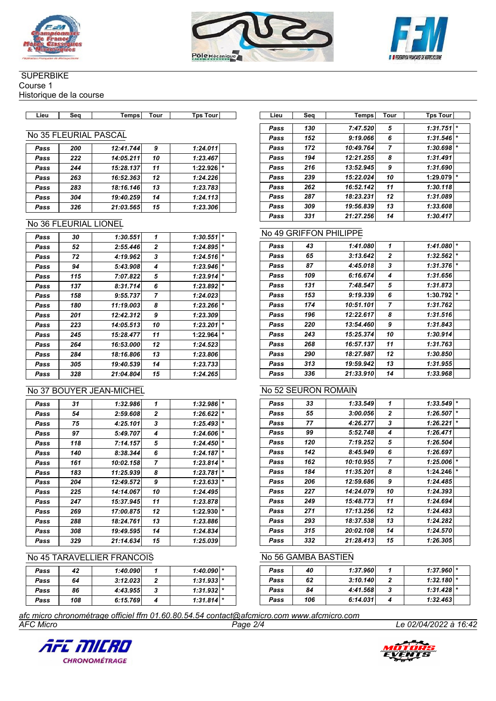





#### **SUPERBIKE**

Course 1

Historique de la course

| ∟ieư | Seo | emps | . our | Tour<br>Tɒs | .iet | Seo | Temps | Tour | Tps<br><b>Tour</b> |
|------|-----|------|-------|-------------|------|-----|-------|------|--------------------|

## No 35 FLEURIAL PASCAL

| Pass | 200 | 12:41.744 | 9  | 1:24.011            |  |
|------|-----|-----------|----|---------------------|--|
| Pass | 222 | 14:05.211 | 10 | 1:23.467            |  |
| Pass | 244 | 15:28.137 | 11 | 1:22.926<br>$\star$ |  |
| Pass | 263 | 16:52.363 | 12 | 1:24.226            |  |
| Pass | 283 | 18:16.146 | 13 | 1:23.783            |  |
| Pass | 304 | 19:40.259 | 14 | 1:24.113            |  |
| Pass | 326 | 21:03.565 | 15 | 1:23.306            |  |

## No 36 FLEURIAL LIONEL

| Pass | 30  | 1:30.551  | 1              | 1:30.551 | $\star$ |
|------|-----|-----------|----------------|----------|---------|
| Pass | 52  | 2:55.446  | 2              | 1:24.895 | *       |
| Pass | 72  | 4:19.962  | 3              | 1:24.516 | *       |
| Pass | 94  | 5:43.908  | 4              | 1:23.946 | *       |
| Pass | 115 | 7:07.822  | 5              | 1:23.914 | *       |
| Pass | 137 | 8:31.714  | 6              | 1:23.892 | *       |
| Pass | 158 | 9:55.737  | $\overline{ }$ | 1:24.023 |         |
| Pass | 180 | 11:19.003 | 8              | 1:23.266 | $\star$ |
| Pass | 201 | 12:42.312 | 9              | 1:23.309 |         |
| Pass | 223 | 14:05.513 | 10             | 1:23.201 | $\star$ |
| Pass | 245 | 15:28.477 | 11             | 1:22.964 | *       |
| Pass | 264 | 16:53.000 | 12             | 1:24.523 |         |
| Pass | 284 | 18:16.806 | 13             | 1:23.806 |         |
| Pass | 305 | 19:40.539 | 14             | 1:23.733 |         |
| Pass | 328 | 21:04.804 | 15             | 1:24.265 |         |
|      |     |           |                |          |         |

# No 37 BOUYER JEAN-MICHEL

| Pass | 31  | 1:32.986  | 1            | 1:32.986 | $\star$ |
|------|-----|-----------|--------------|----------|---------|
| Pass | 54  | 2:59.608  | $\mathbf{2}$ | 1:26.622 | $\star$ |
| Pass | 75  | 4:25.101  | 3            | 1:25.493 | $\star$ |
| Pass | 97  | 5:49.707  | 4            | 1:24.606 | $\star$ |
| Pass | 118 | 7:14.157  | 5            | 1:24.450 | $\star$ |
| Pass | 140 | 8:38.344  | 6            | 1:24.187 | $\star$ |
| Pass | 161 | 10:02.158 | 7            | 1:23.814 | $\star$ |
| Pass | 183 | 11:25.939 | 8            | 1:23.781 | $\star$ |
| Pass | 204 | 12:49.572 | 9            | 1:23.633 | $\star$ |
| Pass | 225 | 14:14.067 | 10           | 1:24.495 |         |
| Pass | 247 | 15:37.945 | 11           | 1:23.878 |         |
| Pass | 269 | 17:00.875 | 12           | 1:22.930 | $\star$ |
| Pass | 288 | 18:24.761 | 13           | 1:23.886 |         |
| Pass | 308 | 19:49.595 | 14           | 1:24.834 |         |
| Pass | 329 | 21:14.634 | 15           | 1:25.039 |         |

## No 45 TARAVELLIER FRANCOIS

| Pass | 42  | 1:40.090 | $1:40.090$ * |  |
|------|-----|----------|--------------|--|
| Pass | 64  | 3:12.023 | $1:31.933$ * |  |
| Pass | 86  | 4:43.955 | $1:31.932$ * |  |
| Pass | 108 | 6:15.769 | $1:31.814$ * |  |

| Lieu | Seq | Temps     | Tour           | <b>Tps Tour</b> |         |
|------|-----|-----------|----------------|-----------------|---------|
| Pass | 130 | 7:47.520  | 5              | 1:31.751        | $\ast$  |
| Pass | 152 | 9:19.066  | 6              | 1:31.546        | $\star$ |
| Pass | 172 | 10:49.764 | $\overline{7}$ | 1:30.698        | $\ast$  |
| Pass | 194 | 12:21.255 | 8              | 1:31.491        |         |
| Pass | 216 | 13:52.945 | 9              | 1:31.690        |         |
| Pass | 239 | 15:22.024 | 10             | 1:29.079        | $\ast$  |
| Pass | 262 | 16:52.142 | 11             | 1:30.118        |         |
| Pass | 287 | 18:23.231 | 12             | 1:31.089        |         |
| Pass | 309 | 19:56.839 | 13             | 1:33.608        |         |
| Pass | 331 | 21:27.256 | 14             | 1:30.417        |         |

## No 49 GRIFFON PHILIPPE

| Pass | 43  | 1:41.080  | 1            | 1:41.080 | $\star$ |
|------|-----|-----------|--------------|----------|---------|
| Pass | 65  | 3:13.642  | $\mathbf{2}$ | 1:32.562 | $\star$ |
| Pass | 87  | 4:45.018  | 3            | 1:31.376 | $\star$ |
| Pass | 109 | 6:16.674  | 4            | 1:31.656 |         |
| Pass | 131 | 7:48.547  | 5            | 1:31.873 |         |
| Pass | 153 | 9:19.339  | 6            | 1:30.792 | $\star$ |
| Pass | 174 | 10:51.101 | 7            | 1:31.762 |         |
| Pass | 196 | 12:22.617 | 8            | 1:31.516 |         |
| Pass | 220 | 13:54.460 | 9            | 1:31.843 |         |
| Pass | 243 | 15:25.374 | 10           | 1:30.914 |         |
| Pass | 268 | 16:57.137 | 11           | 1:31.763 |         |
| Pass | 290 | 18:27.987 | 12           | 1:30.850 |         |
| Pass | 313 | 19:59.942 | 13           | 1:31.955 |         |
| Pass | 336 | 21:33.910 | 14           | 1:33.968 |         |
|      |     |           |              |          |         |

## No 52 SEURON ROMAIN

| Pass | 33  | 1:33.549  | 1              | $\star$<br>1:33.549 |
|------|-----|-----------|----------------|---------------------|
| Pass | 55  | 3:00.056  | $\overline{2}$ | $\star$<br>1:26.507 |
| Pass | 77  | 4:26.277  | 3              | $\star$<br>1:26.221 |
| Pass | 99  | 5:52.748  | 4              | 1:26.471            |
| Pass | 120 | 7:19.252  | 5              | 1:26.504            |
| Pass | 142 | 8:45.949  | 6              | 1:26.697            |
| Pass | 162 | 10:10.955 | 7              | $\star$<br>1:25.006 |
| Pass | 184 | 11:35.201 | 8              | $\ast$<br>1:24.246  |
| Pass | 206 | 12:59.686 | 9              | 1:24.485            |
| Pass | 227 | 14:24.079 | 10             | 1:24.393            |
| Pass | 249 | 15:48.773 | 11             | 1:24.694            |
| Pass | 271 | 17:13.256 | 12             | 1:24.483            |
| Pass | 293 | 18:37.538 | 13             | 1:24.282            |
| Pass | 315 | 20:02.108 | 14             | 1:24.570            |
| Pass | 332 | 21:28.413 | 15             | 1:26.305            |

# No 56 GAMBA BASTIEN

| Pass | 40  | 1:37.960 | $1:37.960$ * |  |
|------|-----|----------|--------------|--|
| Pass | 62  | 3:10.140 | $1:32.180$ * |  |
| Pass | 84  | 4:41.568 | $1:31.428$ * |  |
| Pass | 106 | 6:14.031 | 1:32.463     |  |

*AFC Micro Page 2/4 Le 02/04/2022 à 16:42 afc micro chronométrage officiel ffm 01.60.80.54.54 contact@afcmicro.com www.afcmicro.com*



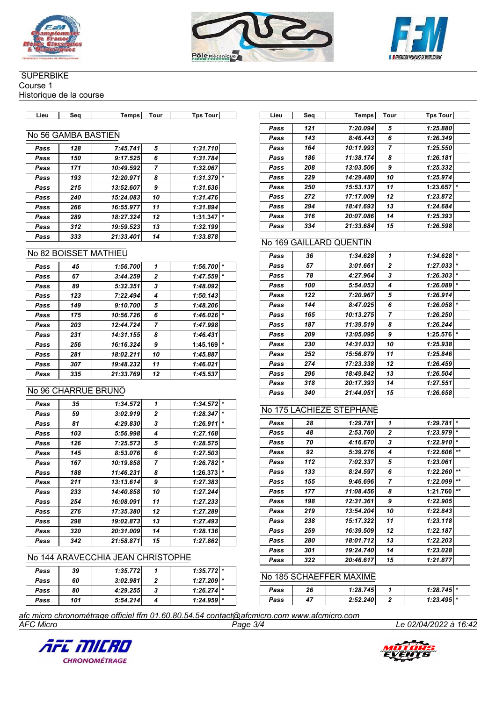





## **SUPERBIKE**

Course 1

Historique de la course

## No 56 GAMBA BASTIEN

| Pass | 128 | 7:45.741  | 5              | 1:31.710            |
|------|-----|-----------|----------------|---------------------|
| Pass | 150 | 9:17.525  | 6              | 1:31.784            |
| Pass | 171 | 10:49.592 | $\overline{7}$ | 1:32.067            |
| Pass | 193 | 12:20.971 | 8              | $\star$<br>1:31.379 |
| Pass | 215 | 13:52.607 | 9              | 1:31.636            |
| Pass | 240 | 15:24.083 | 10             | 1:31.476            |
| Pass | 266 | 16:55.977 | 11             | 1:31.894            |
| Pass | 289 | 18:27.324 | 12             | $\star$<br>1:31.347 |
| Pass | 312 | 19:59.523 | 13             | 1:32.199            |
| Pass | 333 | 21:33.401 | 14             | 1:33.878            |

## No 82 BOISSET MATHIEU

| Pass | 45  | 1:56.700  | 1              | 1:56.700 | $\star$ |
|------|-----|-----------|----------------|----------|---------|
| Pass | 67  | 3:44.259  | 2              | 1:47.559 |         |
| Pass | 89  | 5:32.351  | 3              | 1:48.092 |         |
| Pass | 123 | 7:22.494  | 4              | 1:50.143 |         |
| Pass | 149 | 9:10.700  | 5              | 1:48.206 |         |
| Pass | 175 | 10:56.726 | 6              | 1:46.026 |         |
| Pass | 203 | 12:44.724 | $\overline{7}$ | 1:47.998 |         |
| Pass | 231 | 14:31.155 | 8              | 1:46.431 |         |
| Pass | 256 | 16:16.324 | 9              | 1:45.169 | $\star$ |
| Pass | 281 | 18:02.211 | 10             | 1:45.887 |         |
| Pass | 307 | 19:48.232 | 11             | 1:46.021 |         |
| Pass | 335 | 21:33.769 | 12             | 1:45.537 |         |
|      |     |           |                |          |         |

## No 96 CHARRUE BRUNO

| Pass | 35  | 1:34.572  | 1            | 1:34.572 | $\star$ |
|------|-----|-----------|--------------|----------|---------|
| Pass | 59  | 3:02.919  | $\mathbf{2}$ | 1:28.347 | $\star$ |
| Pass | 81  | 4:29.830  | 3            | 1:26.911 | $\star$ |
| Pass | 103 | 5:56.998  | 4            | 1:27.168 |         |
| Pass | 126 | 7:25.573  | 5            | 1:28.575 |         |
| Pass | 145 | 8:53.076  | 6            | 1:27.503 |         |
| Pass | 167 | 10:19.858 | 7            | 1:26.782 | $\star$ |
| Pass | 188 | 11:46.231 | 8            | 1:26.373 | *       |
| Pass | 211 | 13:13.614 | 9            | 1:27.383 |         |
| Pass | 233 | 14:40.858 | 10           | 1:27.244 |         |
| Pass | 254 | 16:08.091 | 11           | 1:27.233 |         |
| Pass | 276 | 17:35.380 | 12           | 1:27.289 |         |
| Pass | 298 | 19:02.873 | 13           | 1:27.493 |         |
| Pass | 320 | 20:31.009 | 14           | 1:28.136 |         |
| Pass | 342 | 21:58.871 | 15           | 1:27.862 |         |

## No 144 ARAVECCHIA JEAN CHRISTOPHE

| Pass | 39  | 1:35.772 | $1:35.772$ * |  |
|------|-----|----------|--------------|--|
| Pass | 60  | 3:02.981 | $1:27.209$ * |  |
| Pass | 80  | 4:29.255 | $1:26.274$ * |  |
| Pass | 101 | 5:54.214 | $1:24.959$ * |  |

| Lieu | Seq | <b>Temps</b> | Tour           | <b>Tps Tour</b>     |
|------|-----|--------------|----------------|---------------------|
| Pass | 121 | 7:20.094     | 5              | 1:25.880            |
| Pass | 143 | 8:46.443     | 6              | 1:26.349            |
| Pass | 164 | 10:11.993    | $\overline{7}$ | 1:25.550            |
| Pass | 186 | 11:38.174    | 8              | 1:26.181            |
| Pass | 208 | 13:03.506    | 9              | 1:25.332            |
| Pass | 229 | 14:29.480    | 10             | 1:25.974            |
| Pass | 250 | 15:53.137    | 11             | $\star$<br>1:23.657 |
| Pass | 272 | 17:17.009    | 12             | 1:23.872            |
| Pass | 294 | 18:41.693    | 13             | 1:24.684            |
| Pass | 316 | 20:07.086    | 14             | 1:25.393            |
| Pass | 334 | 21:33.684    | 15             | 1:26.598            |

# No 169 GAILLARD QUENTIN

| Pass | 36  | 1:34.628  | 1              | 1:34.628 | $\star$ |
|------|-----|-----------|----------------|----------|---------|
| Pass | 57  | 3:01.661  | $\mathbf{2}$   | 1:27.033 | $\star$ |
| Pass | 78  | 4:27.964  | 3              | 1:26.303 | $\star$ |
| Pass | 100 | 5:54.053  | 4              | 1:26.089 | $\star$ |
| Pass | 122 | 7:20.967  | 5              | 1:26.914 |         |
| Pass | 144 | 8:47.025  | 6              | 1:26.058 | $\star$ |
| Pass | 165 | 10:13.275 | $\overline{ }$ | 1:26.250 |         |
| Pass | 187 | 11:39.519 | 8              | 1:26.244 |         |
| Pass | 209 | 13:05.095 | 9              | 1:25.576 | $\star$ |
| Pass | 230 | 14:31.033 | 10             | 1:25.938 |         |
| Pass | 252 | 15:56.879 | 11             | 1:25.846 |         |
| Pass | 274 | 17:23.338 | 12             | 1:26.459 |         |
| Pass | 296 | 18:49.842 | 13             | 1:26.504 |         |
| Pass | 318 | 20:17.393 | 14             | 1:27.551 |         |
| Pass | 340 | 21:44.051 | 15             | 1:26.658 |         |

#### No 175 LACHIEZE STEPHANE

| Pass | 28  | 1:29.781  | 1              | 1:29.781 | $\star$  |
|------|-----|-----------|----------------|----------|----------|
| Pass | 48  | 2:53.760  | $\mathbf{2}$   | 1:23.979 | $\star$  |
| Pass | 70  | 4:16.670  | 3              | 1:22.910 | $\star$  |
| Pass | 92  | 5:39.276  | 4              | 1:22.606 | $***$    |
| Pass | 112 | 7:02.337  | 5              | 1:23.061 |          |
| Pass | 133 | 8:24.597  | 6              | 1:22.260 | $***$    |
| Pass | 155 | 9:46.696  | $\overline{7}$ | 1:22.099 | $\pm\pm$ |
| Pass | 177 | 11:08.456 | 8              | 1:21.760 | $***$    |
| Pass | 198 | 12:31.361 | 9              | 1:22.905 |          |
| Pass | 219 | 13:54.204 | 10             | 1:22.843 |          |
| Pass | 238 | 15:17.322 | 11             | 1:23.118 |          |
| Pass | 259 | 16:39.509 | 12             | 1:22.187 |          |
| Pass | 280 | 18:01.712 | 13             | 1:22.203 |          |
| Pass | 301 | 19:24.740 | 14             | 1:23.028 |          |
| Pass | 322 | 20:46.617 | 15             | 1:21.877 |          |

#### No 185 SCHAEFFER MAXIME

| Pass | 26 | 1:28.745 | $1:28.745$ $*$ |  |
|------|----|----------|----------------|--|
| Pass | 47 | 2:52.240 | $1:23.495$ *   |  |

*AFC Micro Page 3/4 Le 02/04/2022 à 16:42 afc micro chronométrage officiel ffm 01.60.80.54.54 contact@afcmicro.com www.afcmicro.com*